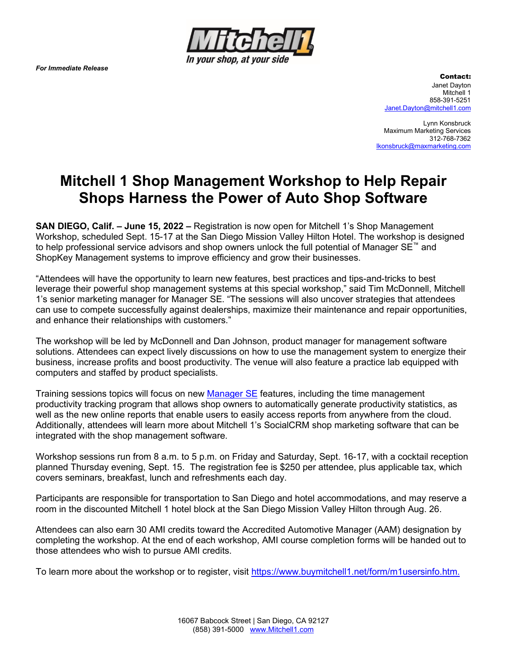*For Immediate Release*



Contact: Janet Dayton Mitchell 1 858-391-5251 [Janet.Dayton@mitchell1.com](mailto:Jill.Schafer@mitchell1.com)

Lynn Konsbruck Maximum Marketing Services 312-768-7362 [lkonsbruck@maxmarketing.com](mailto:jprendergast@maxmarketing.com)

## **Mitchell 1 Shop Management Workshop to Help Repair Shops Harness the Power of Auto Shop Software**

**SAN DIEGO, Calif. – June 15, 2022 –** Registration is now open for Mitchell 1's Shop Management Workshop, scheduled Sept. 15-17 at the San Diego Mission Valley Hilton Hotel. The workshop is designed to help professional service advisors and shop owners unlock the full potential of Manager SE™ and ShopKey Management systems to improve efficiency and grow their businesses.

"Attendees will have the opportunity to learn new features, best practices and tips-and-tricks to best leverage their powerful shop management systems at this special workshop," said Tim McDonnell, Mitchell 1's senior marketing manager for Manager SE. "The sessions will also uncover strategies that attendees can use to compete successfully against dealerships, maximize their maintenance and repair opportunities, and enhance their relationships with customers."

The workshop will be led by McDonnell and Dan Johnson, product manager for management software solutions. Attendees can expect lively discussions on how to use the management system to energize their business, increase profits and boost productivity. The venue will also feature a practice lab equipped with computers and staffed by product specialists.

Training sessions topics will focus on new [Manager SE](https://mitchell1.com/manager-se/) features, including the time management productivity tracking program that allows shop owners to automatically generate productivity statistics, as well as the new online reports that enable users to easily access reports from anywhere from the cloud. Additionally, attendees will learn more about Mitchell 1's SocialCRM shop marketing software that can be integrated with the shop management software.

Workshop sessions run from 8 a.m. to 5 p.m. on Friday and Saturday, Sept. 16-17, with a cocktail reception planned Thursday evening, Sept. 15. The registration fee is \$250 per attendee, plus applicable tax, which covers seminars, breakfast, lunch and refreshments each day.

Participants are responsible for transportation to San Diego and hotel accommodations, and may reserve a room in the discounted Mitchell 1 hotel block at the San Diego Mission Valley Hilton through Aug. 26.

Attendees can also earn 30 AMI credits toward the Accredited Automotive Manager (AAM) designation by completing the workshop. At the end of each workshop, AMI course completion forms will be handed out to those attendees who wish to pursue AMI credits.

To learn more about the workshop or to register, visit [https://www.buymitchell1.net/form/m1usersinfo.htm.](https://www.buymitchell1.net/form/m1usersinfo.htm)